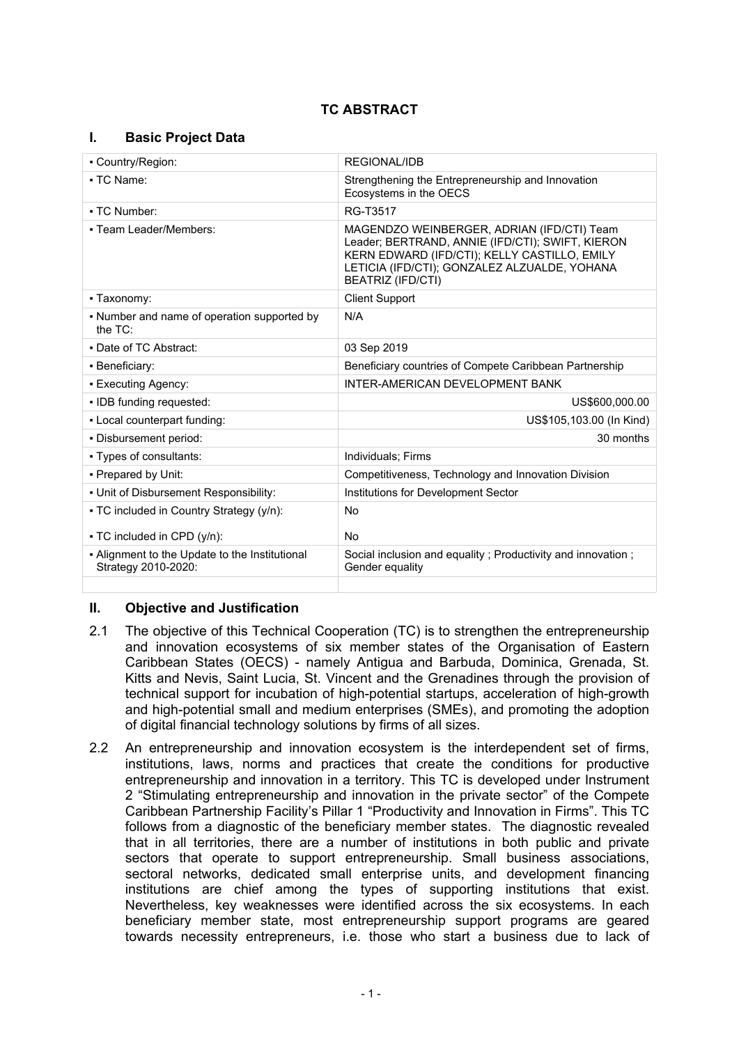# **TC ABSTRACT**

### **I. Basic Project Data**

| REGIONAL/IDB                                                                                                                                                                                                               |
|----------------------------------------------------------------------------------------------------------------------------------------------------------------------------------------------------------------------------|
| Strengthening the Entrepreneurship and Innovation<br>Ecosystems in the OECS                                                                                                                                                |
| RG-T3517                                                                                                                                                                                                                   |
| MAGENDZO WEINBERGER, ADRIAN (IFD/CTI) Team<br>Leader; BERTRAND, ANNIE (IFD/CTI); SWIFT, KIERON<br>KERN EDWARD (IFD/CTI); KELLY CASTILLO, EMILY<br>LETICIA (IFD/CTI); GONZALEZ ALZUALDE, YOHANA<br><b>BEATRIZ (IFD/CTI)</b> |
| <b>Client Support</b>                                                                                                                                                                                                      |
| N/A                                                                                                                                                                                                                        |
| 03 Sep 2019                                                                                                                                                                                                                |
| Beneficiary countries of Compete Caribbean Partnership                                                                                                                                                                     |
| INTER-AMERICAN DEVELOPMENT BANK                                                                                                                                                                                            |
| US\$600,000.00                                                                                                                                                                                                             |
| US\$105,103.00 (In Kind)                                                                                                                                                                                                   |
| 30 months                                                                                                                                                                                                                  |
| Individuals; Firms                                                                                                                                                                                                         |
| Competitiveness, Technology and Innovation Division                                                                                                                                                                        |
| Institutions for Development Sector                                                                                                                                                                                        |
| No                                                                                                                                                                                                                         |
| No                                                                                                                                                                                                                         |
| Social inclusion and equality; Productivity and innovation;<br>Gender equality                                                                                                                                             |
|                                                                                                                                                                                                                            |

#### **II. Objective and Justification**

- 2.1 The objective of this Technical Cooperation (TC) is to strengthen the entrepreneurship and innovation ecosystems of six member states of the Organisation of Eastern Caribbean States (OECS) - namely Antigua and Barbuda, Dominica, Grenada, St. Kitts and Nevis, Saint Lucia, St. Vincent and the Grenadines through the provision of technical support for incubation of high-potential startups, acceleration of high-growth and high-potential small and medium enterprises (SMEs), and promoting the adoption of digital financial technology solutions by firms of all sizes.
- 2.2 An entrepreneurship and innovation ecosystem is the interdependent set of firms, institutions, laws, norms and practices that create the conditions for productive entrepreneurship and innovation in a territory. This TC is developed under Instrument 2 "Stimulating entrepreneurship and innovation in the private sector" of the Compete Caribbean Partnership Facility's Pillar 1 "Productivity and Innovation in Firms". This TC follows from a diagnostic of the beneficiary member states. The diagnostic revealed that in all territories, there are a number of institutions in both public and private sectors that operate to support entrepreneurship. Small business associations, sectoral networks, dedicated small enterprise units, and development financing institutions are chief among the types of supporting institutions that exist. Nevertheless, key weaknesses were identified across the six ecosystems. In each beneficiary member state, most entrepreneurship support programs are geared towards necessity entrepreneurs, i.e. those who start a business due to lack of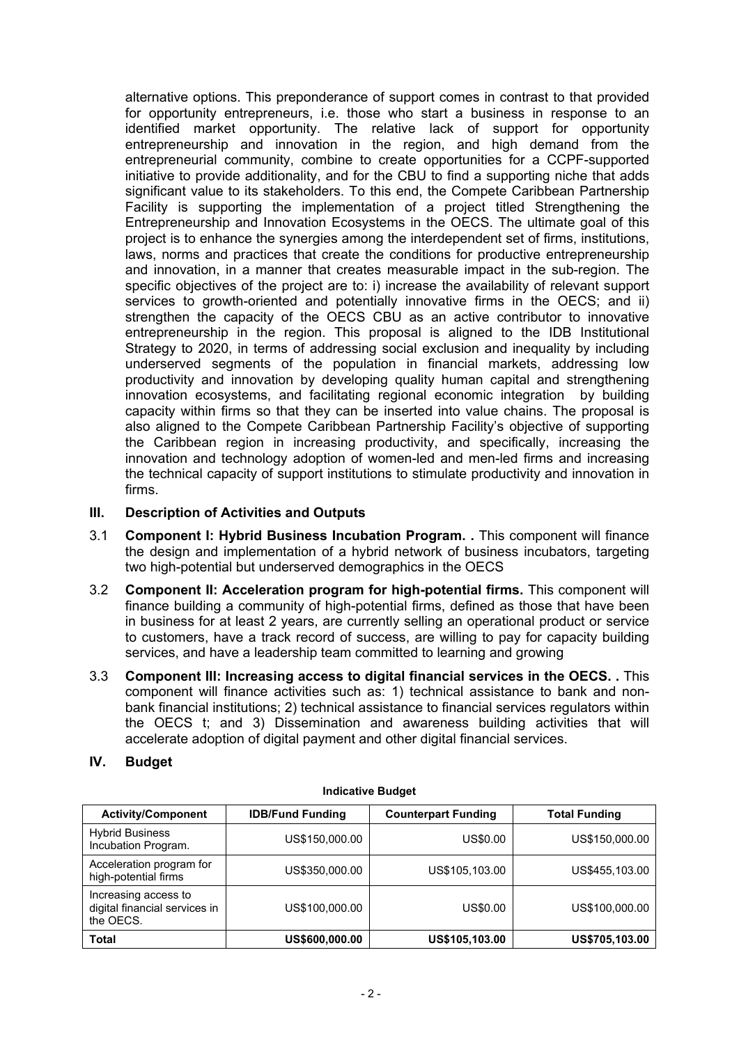alternative options. This preponderance of support comes in contrast to that provided for opportunity entrepreneurs, i.e. those who start a business in response to an identified market opportunity. The relative lack of support for opportunity entrepreneurship and innovation in the region, and high demand from the entrepreneurial community, combine to create opportunities for a CCPF-supported initiative to provide additionality, and for the CBU to find a supporting niche that adds significant value to its stakeholders. To this end, the Compete Caribbean Partnership Facility is supporting the implementation of a project titled Strengthening the Entrepreneurship and Innovation Ecosystems in the OECS. The ultimate goal of this project is to enhance the synergies among the interdependent set of firms, institutions, laws, norms and practices that create the conditions for productive entrepreneurship and innovation, in a manner that creates measurable impact in the sub-region. The specific objectives of the project are to: i) increase the availability of relevant support services to growth-oriented and potentially innovative firms in the OECS; and ii) strengthen the capacity of the OECS CBU as an active contributor to innovative entrepreneurship in the region. This proposal is aligned to the IDB Institutional Strategy to 2020, in terms of addressing social exclusion and inequality by including underserved segments of the population in financial markets, addressing low productivity and innovation by developing quality human capital and strengthening innovation ecosystems, and facilitating regional economic integration by building capacity within firms so that they can be inserted into value chains. The proposal is also aligned to the Compete Caribbean Partnership Facility's objective of supporting the Caribbean region in increasing productivity, and specifically, increasing the innovation and technology adoption of women-led and men-led firms and increasing the technical capacity of support institutions to stimulate productivity and innovation in firms.

#### **III. Description of Activities and Outputs**

- 3.1 **Component I: Hybrid Business Incubation Program. .** This component will finance the design and implementation of a hybrid network of business incubators, targeting two high-potential but underserved demographics in the OECS
- 3.2 **Component II: Acceleration program for high-potential firms.** This component will finance building a community of high-potential firms, defined as those that have been in business for at least 2 years, are currently selling an operational product or service to customers, have a track record of success, are willing to pay for capacity building services, and have a leadership team committed to learning and growing
- 3.3 **Component III: Increasing access to digital financial services in the OECS. .** This component will finance activities such as: 1) technical assistance to bank and nonbank financial institutions; 2) technical assistance to financial services regulators within the OECS t; and 3) Dissemination and awareness building activities that will accelerate adoption of digital payment and other digital financial services.

#### **IV. Budget**

| <b>Activity/Component</b>                                          | <b>IDB/Fund Funding</b> | <b>Counterpart Funding</b> | <b>Total Funding</b> |
|--------------------------------------------------------------------|-------------------------|----------------------------|----------------------|
| <b>Hybrid Business</b><br>Incubation Program.                      | US\$150,000.00          | US\$0.00                   | US\$150,000.00       |
| Acceleration program for<br>high-potential firms                   | US\$350,000.00          | US\$105,103.00             | US\$455,103.00       |
| Increasing access to<br>digital financial services in<br>the OECS. | US\$100,000.00          | US\$0.00                   | US\$100,000.00       |
| <b>Total</b>                                                       | US\$600,000.00          | US\$105,103.00             | US\$705,103.00       |

#### **Indicative Budget**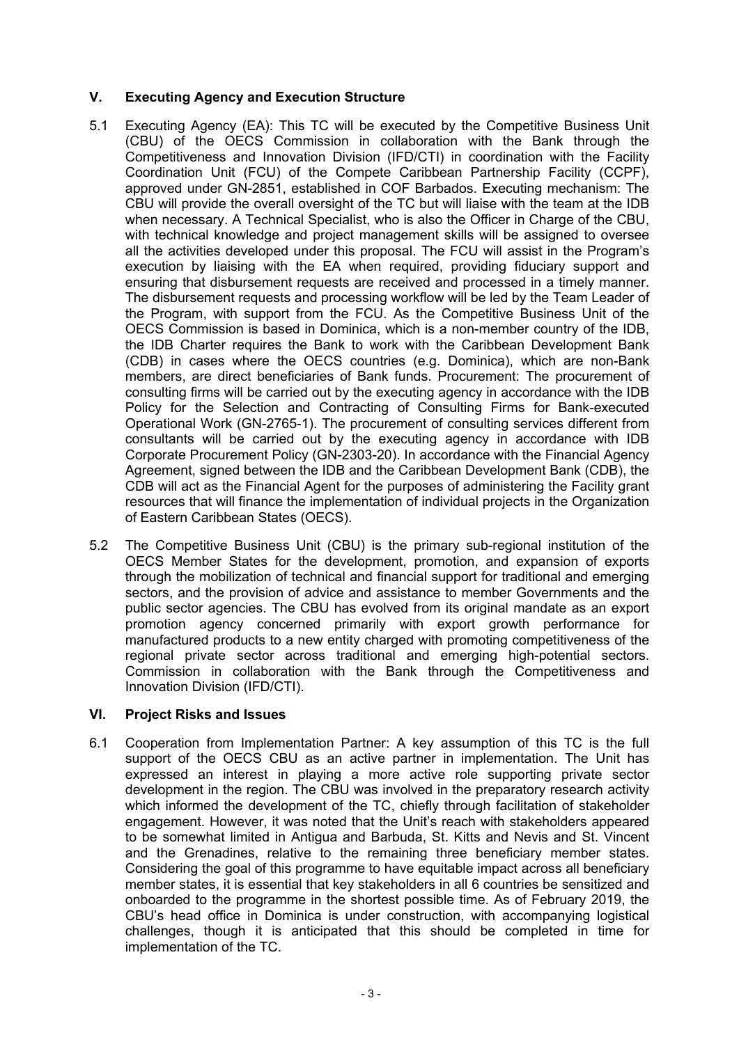## **V. Executing Agency and Execution Structure**

- 5.1 Executing Agency (EA): This TC will be executed by the Competitive Business Unit (CBU) of the OECS Commission in collaboration with the Bank through the Competitiveness and Innovation Division (IFD/CTI) in coordination with the Facility Coordination Unit (FCU) of the Compete Caribbean Partnership Facility (CCPF), approved under GN-2851, established in COF Barbados. Executing mechanism: The CBU will provide the overall oversight of the TC but will liaise with the team at the IDB when necessary. A Technical Specialist, who is also the Officer in Charge of the CBU, with technical knowledge and project management skills will be assigned to oversee all the activities developed under this proposal. The FCU will assist in the Program's execution by liaising with the EA when required, providing fiduciary support and ensuring that disbursement requests are received and processed in a timely manner. The disbursement requests and processing workflow will be led by the Team Leader of the Program, with support from the FCU. As the Competitive Business Unit of the OECS Commission is based in Dominica, which is a non-member country of the IDB, the IDB Charter requires the Bank to work with the Caribbean Development Bank (CDB) in cases where the OECS countries (e.g. Dominica), which are non-Bank members, are direct beneficiaries of Bank funds. Procurement: The procurement of consulting firms will be carried out by the executing agency in accordance with the IDB Policy for the Selection and Contracting of Consulting Firms for Bank-executed Operational Work (GN-2765-1). The procurement of consulting services different from consultants will be carried out by the executing agency in accordance with IDB Corporate Procurement Policy (GN-2303-20). In accordance with the Financial Agency Agreement, signed between the IDB and the Caribbean Development Bank (CDB), the CDB will act as the Financial Agent for the purposes of administering the Facility grant resources that will finance the implementation of individual projects in the Organization of Eastern Caribbean States (OECS).
- 5.2 The Competitive Business Unit (CBU) is the primary sub-regional institution of the OECS Member States for the development, promotion, and expansion of exports through the mobilization of technical and financial support for traditional and emerging sectors, and the provision of advice and assistance to member Governments and the public sector agencies. The CBU has evolved from its original mandate as an export promotion agency concerned primarily with export growth performance for manufactured products to a new entity charged with promoting competitiveness of the regional private sector across traditional and emerging high-potential sectors. Commission in collaboration with the Bank through the Competitiveness and Innovation Division (IFD/CTI).

#### **VI. Project Risks and Issues**

6.1 Cooperation from Implementation Partner: A key assumption of this TC is the full support of the OECS CBU as an active partner in implementation. The Unit has expressed an interest in playing a more active role supporting private sector development in the region. The CBU was involved in the preparatory research activity which informed the development of the TC, chiefly through facilitation of stakeholder engagement. However, it was noted that the Unit's reach with stakeholders appeared to be somewhat limited in Antigua and Barbuda, St. Kitts and Nevis and St. Vincent and the Grenadines, relative to the remaining three beneficiary member states. Considering the goal of this programme to have equitable impact across all beneficiary member states, it is essential that key stakeholders in all 6 countries be sensitized and onboarded to the programme in the shortest possible time. As of February 2019, the CBU's head office in Dominica is under construction, with accompanying logistical challenges, though it is anticipated that this should be completed in time for implementation of the TC.